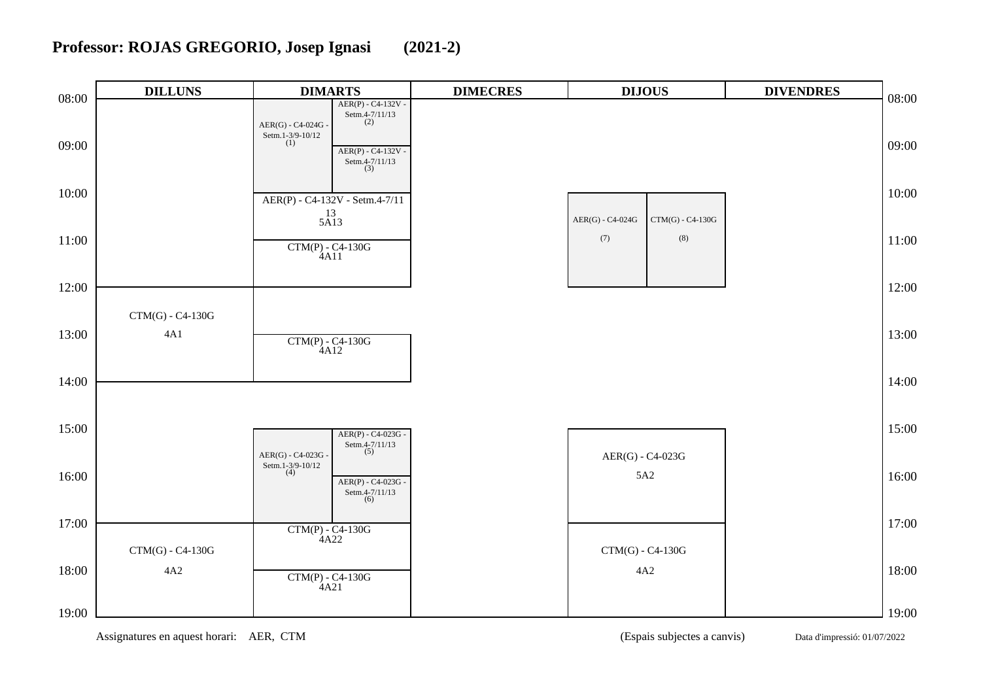## **Professor: ROJAS GREGORIO, Josep Ignasi (2021-2)**

| 08:00 | <b>DILLUNS</b>            | <b>DIMARTS</b>                                                                                                                                    | <b>DIMECRES</b> | <b>DIJOUS</b>                          | <b>DIVENDRES</b> | 08:00 |
|-------|---------------------------|---------------------------------------------------------------------------------------------------------------------------------------------------|-----------------|----------------------------------------|------------------|-------|
| 09:00 |                           | $AER(P) - C4-132V -$<br>Setm.4-7/11/13<br>(2)<br>$AER(G) - C4-024G -$<br>Setm.1-3/9-10/12<br>(1)<br>$AER(P) - C4-132V -$<br>Setm.4-7/11/13<br>(3) |                 |                                        |                  | 09:00 |
| 10:00 |                           | AER(P) - C4-132V - Setm.4-7/11<br>$\frac{13}{5A13}$                                                                                               |                 | AER(G) - C4-024G<br>$CTM(G) - C4-130G$ |                  | 10:00 |
| 11:00 |                           | $\frac{\text{CTM(P)} - \text{C4-130G}}{4 \text{A11}}$                                                                                             |                 | $\left( 7\right)$<br>$\left(8\right)$  |                  | 11:00 |
| 12:00 |                           |                                                                                                                                                   |                 |                                        |                  | 12:00 |
| 13:00 | $CTM(G) - C4-130G$<br>4A1 | $CTM(P) - C4-130G$<br>4A12                                                                                                                        |                 |                                        |                  | 13:00 |
| 14:00 |                           |                                                                                                                                                   |                 |                                        |                  | 14:00 |
| 15:00 |                           | AER(P) - C4-023G -<br>Setm.4-7/11/13<br>(5)<br>$AER(G) - C4-023G$                                                                                 |                 | AER(G) - C4-023G                       |                  | 15:00 |
| 16:00 |                           | Setm.1-3/9-10/12<br>(4)<br>$AER(P) - C4-023G -$<br>Setm.4-7/11/13<br>(6)                                                                          |                 | 5A2                                    |                  | 16:00 |
| 17:00 | $CTM(G) - C4-130G$        | $CTM(P) - C4-130G$<br>4A22                                                                                                                        |                 | $CTM(G) - C4-130G$                     |                  | 17:00 |
| 18:00 | $4A2$                     | $CTM(P) - C4-130G$<br>4A21                                                                                                                        |                 | 4A2                                    |                  | 18:00 |
| 19:00 |                           |                                                                                                                                                   |                 |                                        |                  | 19:00 |

Assignatures en aquest horari: AER, CTM (Espais subjectes a canvis) Data d'impressió: 01/07/2022